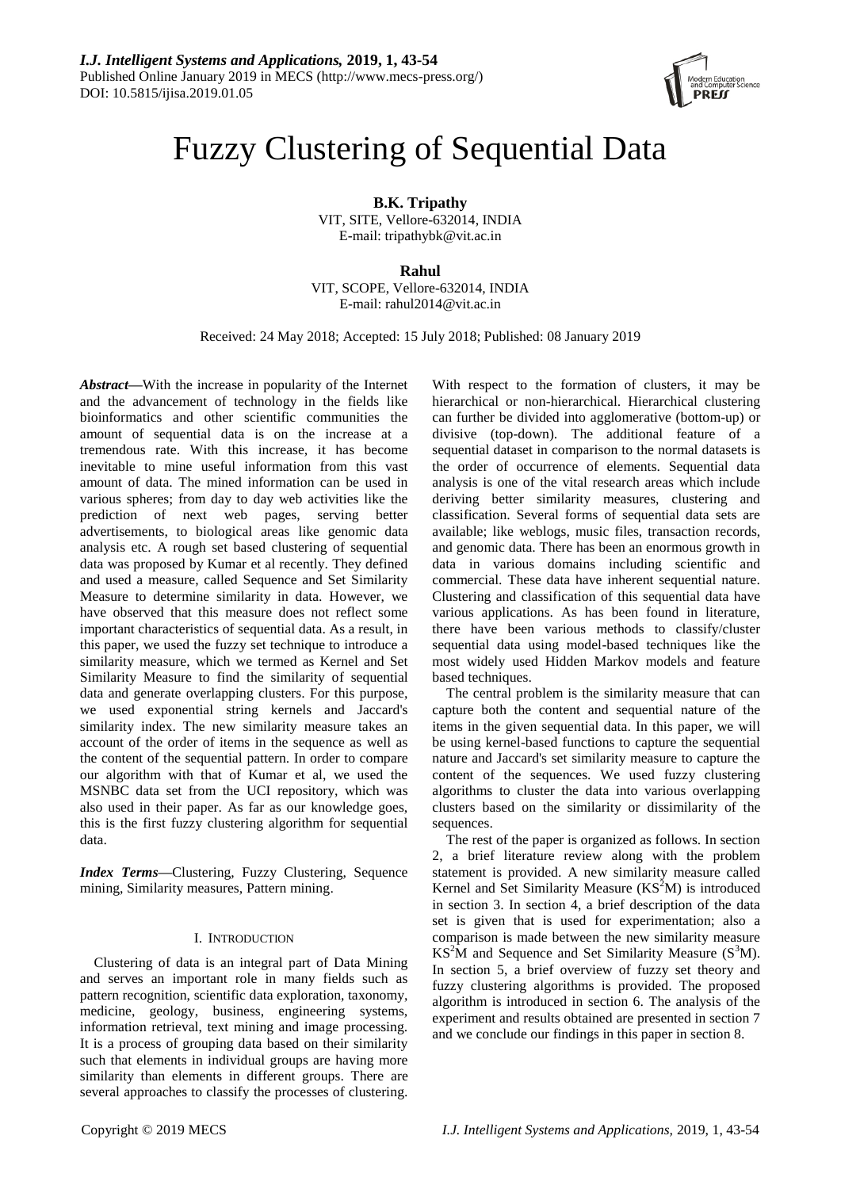

# Fuzzy Clustering of Sequential Data

**B.K. Tripathy** VIT, SITE, Vellore-632014, INDIA E-mail: tripathybk@vit.ac.in

**Rahul** VIT, SCOPE, Vellore-632014, INDIA E-mail: rahul2014@vit.ac.in

Received: 24 May 2018; Accepted: 15 July 2018; Published: 08 January 2019

*Abstract***—**With the increase in popularity of the Internet and the advancement of technology in the fields like bioinformatics and other scientific communities the amount of sequential data is on the increase at a tremendous rate. With this increase, it has become inevitable to mine useful information from this vast amount of data. The mined information can be used in various spheres; from day to day web activities like the prediction of next web pages, serving better advertisements, to biological areas like genomic data analysis etc. A rough set based clustering of sequential data was proposed by Kumar et al recently. They defined and used a measure, called Sequence and Set Similarity Measure to determine similarity in data. However, we have observed that this measure does not reflect some important characteristics of sequential data. As a result, in this paper, we used the fuzzy set technique to introduce a similarity measure, which we termed as Kernel and Set Similarity Measure to find the similarity of sequential data and generate overlapping clusters. For this purpose, we used exponential string kernels and Jaccard's similarity index. The new similarity measure takes an account of the order of items in the sequence as well as the content of the sequential pattern. In order to compare our algorithm with that of Kumar et al, we used the MSNBC data set from the UCI repository, which was also used in their paper. As far as our knowledge goes, this is the first fuzzy clustering algorithm for sequential data.

*Index Terms***—**Clustering, Fuzzy Clustering, Sequence mining, Similarity measures, Pattern mining.

# I. INTRODUCTION

Clustering of data is an integral part of Data Mining and serves an important role in many fields such as pattern recognition, scientific data exploration, taxonomy, medicine, geology, business, engineering systems, information retrieval, text mining and image processing. It is a process of grouping data based on their similarity such that elements in individual groups are having more similarity than elements in different groups. There are several approaches to classify the processes of clustering.

With respect to the formation of clusters, it may be hierarchical or non-hierarchical. Hierarchical clustering can further be divided into agglomerative (bottom-up) or divisive (top-down). The additional feature of a sequential dataset in comparison to the normal datasets is the order of occurrence of elements. Sequential data analysis is one of the vital research areas which include deriving better similarity measures, clustering and classification. Several forms of sequential data sets are available; like weblogs, music files, transaction records, and genomic data. There has been an enormous growth in data in various domains including scientific and commercial. These data have inherent sequential nature. Clustering and classification of this sequential data have various applications. As has been found in literature, there have been various methods to classify/cluster sequential data using model-based techniques like the most widely used Hidden Markov models and feature based techniques.

The central problem is the similarity measure that can capture both the content and sequential nature of the items in the given sequential data. In this paper, we will be using kernel-based functions to capture the sequential nature and Jaccard's set similarity measure to capture the content of the sequences. We used fuzzy clustering algorithms to cluster the data into various overlapping clusters based on the similarity or dissimilarity of the sequences.

The rest of the paper is organized as follows. In section 2, a brief literature review along with the problem statement is provided. A new similarity measure called Kernel and Set Similarity Measure  $(KS<sup>2</sup>M)$  is introduced in section 3. In section 4, a brief description of the data set is given that is used for experimentation; also a comparison is made between the new similarity measure  $KS<sup>2</sup>M$  and Sequence and Set Similarity Measure ( $S<sup>3</sup>M$ ). In section 5, a brief overview of fuzzy set theory and fuzzy clustering algorithms is provided. The proposed algorithm is introduced in section 6. The analysis of the experiment and results obtained are presented in section 7 and we conclude our findings in this paper in section 8.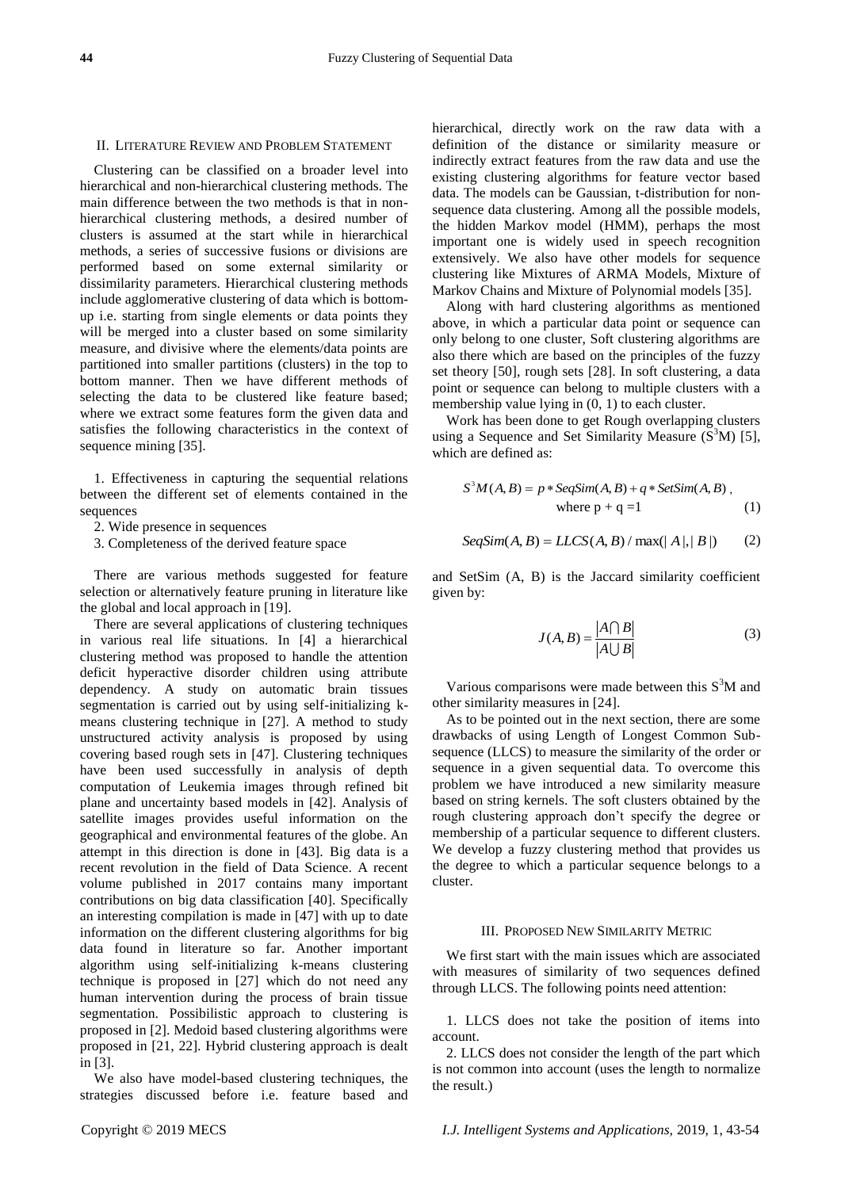## II. LITERATURE REVIEW AND PROBLEM STATEMENT

Clustering can be classified on a broader level into hierarchical and non-hierarchical clustering methods. The main difference between the two methods is that in nonhierarchical clustering methods, a desired number of clusters is assumed at the start while in hierarchical methods, a series of successive fusions or divisions are performed based on some external similarity or dissimilarity parameters. Hierarchical clustering methods include agglomerative clustering of data which is bottomup i.e. starting from single elements or data points they will be merged into a cluster based on some similarity measure, and divisive where the elements/data points are partitioned into smaller partitions (clusters) in the top to bottom manner. Then we have different methods of selecting the data to be clustered like feature based; where we extract some features form the given data and satisfies the following characteristics in the context of sequence mining [35].

1. Effectiveness in capturing the sequential relations between the different set of elements contained in the sequences

- 2. Wide presence in sequences
- 3. Completeness of the derived feature space

There are various methods suggested for feature selection or alternatively feature pruning in literature like the global and local approach in [19].

There are several applications of clustering techniques in various real life situations. In [4] a hierarchical clustering method was proposed to handle the attention deficit hyperactive disorder children using attribute dependency. A study on automatic brain tissues segmentation is carried out by using self-initializing kmeans clustering technique in [27]. A method to study unstructured activity analysis is proposed by using covering based rough sets in [47]. Clustering techniques have been used successfully in analysis of depth computation of Leukemia images through refined bit plane and uncertainty based models in [42]. Analysis of satellite images provides useful information on the geographical and environmental features of the globe. An attempt in this direction is done in [43]. Big data is a recent revolution in the field of Data Science. A recent volume published in 2017 contains many important contributions on big data classification [40]. Specifically an interesting compilation is made in [47] with up to date information on the different clustering algorithms for big data found in literature so far. Another important algorithm using self-initializing k-means clustering technique is proposed in [27] which do not need any human intervention during the process of brain tissue segmentation. Possibilistic approach to clustering is proposed in [2]. Medoid based clustering algorithms were proposed in [21, 22]. Hybrid clustering approach is dealt in [3].

We also have model-based clustering techniques, the strategies discussed before i.e. feature based and

hierarchical, directly work on the raw data with a definition of the distance or similarity measure or indirectly extract features from the raw data and use the existing clustering algorithms for feature vector based data. The models can be Gaussian, t-distribution for nonsequence data clustering. Among all the possible models, the hidden Markov model (HMM), perhaps the most important one is widely used in speech recognition extensively. We also have other models for sequence clustering like Mixtures of ARMA Models, Mixture of Markov Chains and Mixture of Polynomial models [35].

Along with hard clustering algorithms as mentioned above, in which a particular data point or sequence can only belong to one cluster, Soft clustering algorithms are also there which are based on the principles of the fuzzy set theory [50], rough sets [28]. In soft clustering, a data point or sequence can belong to multiple clusters with a membership value lying in (0, 1) to each cluster.

Work has been done to get Rough overlapping clusters using a Sequence and Set Similarity Measure  $(S<sup>3</sup>M)$  [5], which are defined as:

$$
S3M(A, B) = p * SeqSim(A, B) + q * SetSim(A, B),
$$
  
where p + q =1 (1)

$$
SeqSim(A, B) = LLCS(A, B) / max(|A|, |B|)
$$
 (2)

and SetSim (A, B) is the Jaccard similarity coefficient given by:

$$
J(A,B) = \frac{|A \cap B|}{|A \cup B|} \tag{3}
$$

Various comparisons were made between this  $S<sup>3</sup>M$  and other similarity measures in [24].

As to be pointed out in the next section, there are some drawbacks of using Length of Longest Common Subsequence (LLCS) to measure the similarity of the order or sequence in a given sequential data. To overcome this problem we have introduced a new similarity measure based on string kernels. The soft clusters obtained by the rough clustering approach don't specify the degree or membership of a particular sequence to different clusters. We develop a fuzzy clustering method that provides us the degree to which a particular sequence belongs to a cluster.

# III. PROPOSED NEW SIMILARITY METRIC

We first start with the main issues which are associated with measures of similarity of two sequences defined through LLCS. The following points need attention:

1. LLCS does not take the position of items into account.

2. LLCS does not consider the length of the part which is not common into account (uses the length to normalize the result.)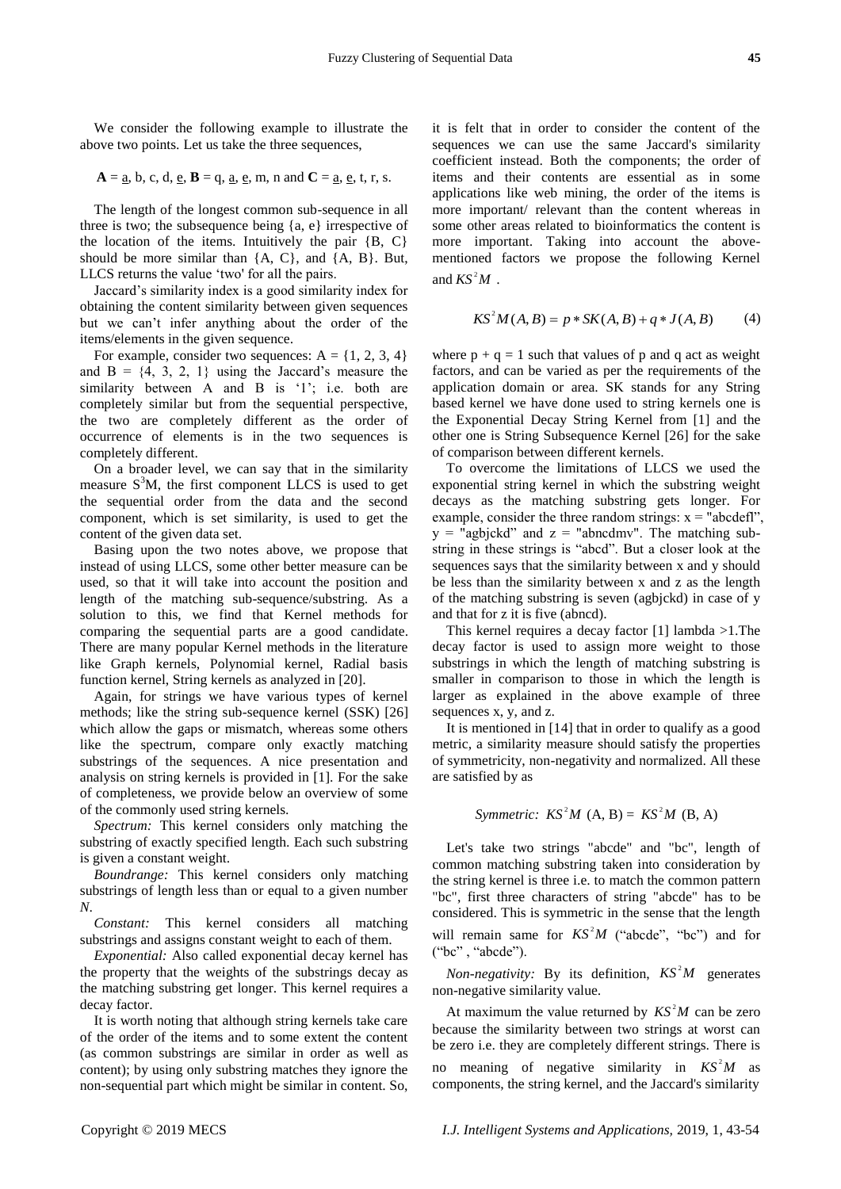We consider the following example to illustrate the above two points. Let us take the three sequences,

$$
A = \underline{a}, b, c, d, \underline{e}, B = q, \underline{a}, \underline{e}, m, n \text{ and } C = \underline{a}, \underline{e}, t, r, s.
$$

The length of the longest common sub-sequence in all three is two; the subsequence being {a, e} irrespective of the location of the items. Intuitively the pair  ${B, C}$ should be more similar than {A, C}, and {A, B}. But, LLCS returns the value 'two' for all the pairs.

Jaccard's similarity index is a good similarity index for obtaining the content similarity between given sequences but we can't infer anything about the order of the items/elements in the given sequence.

For example, consider two sequences:  $A = \{1, 2, 3, 4\}$ and  $B = \{4, 3, 2, 1\}$  using the Jaccard's measure the similarity between A and B is '1'; i.e. both are completely similar but from the sequential perspective, the two are completely different as the order of occurrence of elements is in the two sequences is completely different.

On a broader level, we can say that in the similarity measure S <sup>3</sup>M, the first component LLCS is used to get the sequential order from the data and the second component, which is set similarity, is used to get the content of the given data set.

Basing upon the two notes above, we propose that instead of using LLCS, some other better measure can be used, so that it will take into account the position and length of the matching sub-sequence/substring. As a solution to this, we find that Kernel methods for comparing the sequential parts are a good candidate. There are many popular Kernel methods in the literature like Graph kernels, Polynomial kernel, Radial basis function kernel, String kernels as analyzed in [20].

Again, for strings we have various types of kernel methods; like the string sub-sequence kernel (SSK) [26] which allow the gaps or mismatch, whereas some others like the spectrum, compare only exactly matching substrings of the sequences. A nice presentation and analysis on string kernels is provided in [1]. For the sake of completeness, we provide below an overview of some of the commonly used string kernels.

*Spectrum:* This kernel considers only matching the substring of exactly specified length. Each such substring is given a constant weight.

*Boundrange:* This kernel considers only matching substrings of length less than or equal to a given number *N*.

*Constant:* This kernel considers all matching substrings and assigns constant weight to each of them.

*Exponential:* Also called exponential decay kernel has the property that the weights of the substrings decay as the matching substring get longer. This kernel requires a decay factor.

It is worth noting that although string kernels take care of the order of the items and to some extent the content (as common substrings are similar in order as well as content); by using only substring matches they ignore the non-sequential part which might be similar in content. So, it is felt that in order to consider the content of the sequences we can use the same Jaccard's similarity coefficient instead. Both the components; the order of items and their contents are essential as in some applications like web mining, the order of the items is more important/ relevant than the content whereas in some other areas related to bioinformatics the content is more important. Taking into account the abovementioned factors we propose the following Kernel and  $KS^2M$ . eratial Data<br>
14 **K** from the consider the content of the same factors we can use the same factors in the same factors is millar<br>
16: The matter content in the components; the order of<br>
16: the interpretation and the comp **45**<br>**Example 18 Consider the content of the use the same Jaccard's similarity Both the components: the order of the limiting, the order of the limits is by minimal, the order of the limits is a step when the by minimal 45**<br>the content of the Jaccard's similarity<br>onents; the order of the items is<br>sential as in some<br>content whereas in<br>matics the content is<br>count the above-<br>following Kernel<br> $+q * J(A, B)$  (4)<br> $+q * J(A, B)$  (4)<br>pand q act as weig **15** to consider the content of the components; the origonous of the same Jacceards similarity this are essential as in some of the items is intimaling, the order of the items is to to bioinformatics the content views in **45**<br>**45**<br>**e** content of the coracles similarity<br>this; the order of<br>tradistant in some r of the items is<br>treat whereas in<br>the content is<br>the content is<br>the content is<br>the content is<br> $*J(A, B)$  (4)<br> $*J(A, B)$  (4)<br> $*J(A, B)$  (4)<br> **145**<br>
the content of the<br>
neccard's similarity<br>
ents; the order of<br>
trial as in some<br>
trial as in some<br>
the content is<br>
count the above-<br>
following Kernel is<br>
count the above-<br>
following Kernel<br>  $t^*J(A, B)$  (4)<br>
and q act 45<br>
ent of the similarity<br>
order of in some<br>
in some in similarity<br>
in some in similar content is<br>
content is<br>
content is<br>
content is<br>  $B$ ) (4)<br>
(4)<br>
as weight<br>
ents one is<br>
one is<br>  $B$ ) (4)<br>
as weight<br>
ents of the<br>
simil

$$
KS^{2}M(A, B) = p * SK(A, B) + q * J(A, B)
$$
 (4)

where  $p + q = 1$  such that values of p and q act as weight factors, and can be varied as per the requirements of the application domain or area. SK stands for any String based kernel we have done used to string kernels one is the Exponential Decay String Kernel from [1] and the other one is String Subsequence Kernel [26] for the sake of comparison between different kernels.

To overcome the limitations of LLCS we used the exponential string kernel in which the substring weight decays as the matching substring gets longer. For example, consider the three random strings:  $x =$  "abcdefl",  $y =$  "agbjckd" and  $z =$  "abncdmv". The matching substring in these strings is "abcd". But a closer look at the sequences says that the similarity between x and y should be less than the similarity between x and z as the length of the matching substring is seven (agbjckd) in case of y and that for z it is five (abncd).

This kernel requires a decay factor [1] lambda >1.The decay factor is used to assign more weight to those substrings in which the length of matching substring is smaller in comparison to those in which the length is larger as explained in the above example of three sequences x, y, and z.

It is mentioned in [14] that in order to qualify as a good metric, a similarity measure should satisfy the properties of symmetricity, non-negativity and normalized. All these are satisfied by as

# *Symmetric:*  $KS^2M$   $(A, B) = KS^2M$   $(B, A)$

Let's take two strings "abcde" and "bc", length of common matching substring taken into consideration by the string kernel is three i.e. to match the common pattern "bc", first three characters of string "abcde" has to be considered. This is symmetric in the sense that the length will remain same for  $KS^2M$  ("abcde", "bc") and for ("bc", "abcde").

*Non-negativity:* By its definition,  $KS^2M$  generates non-negative similarity value.

At maximum the value returned by  $KS^2M$  can be zero because the similarity between two strings at worst can be zero i.e. they are completely different strings. There is no meaning of negative similarity in  $KS^2M$  as components, the string kernel, and the Jaccard's similarity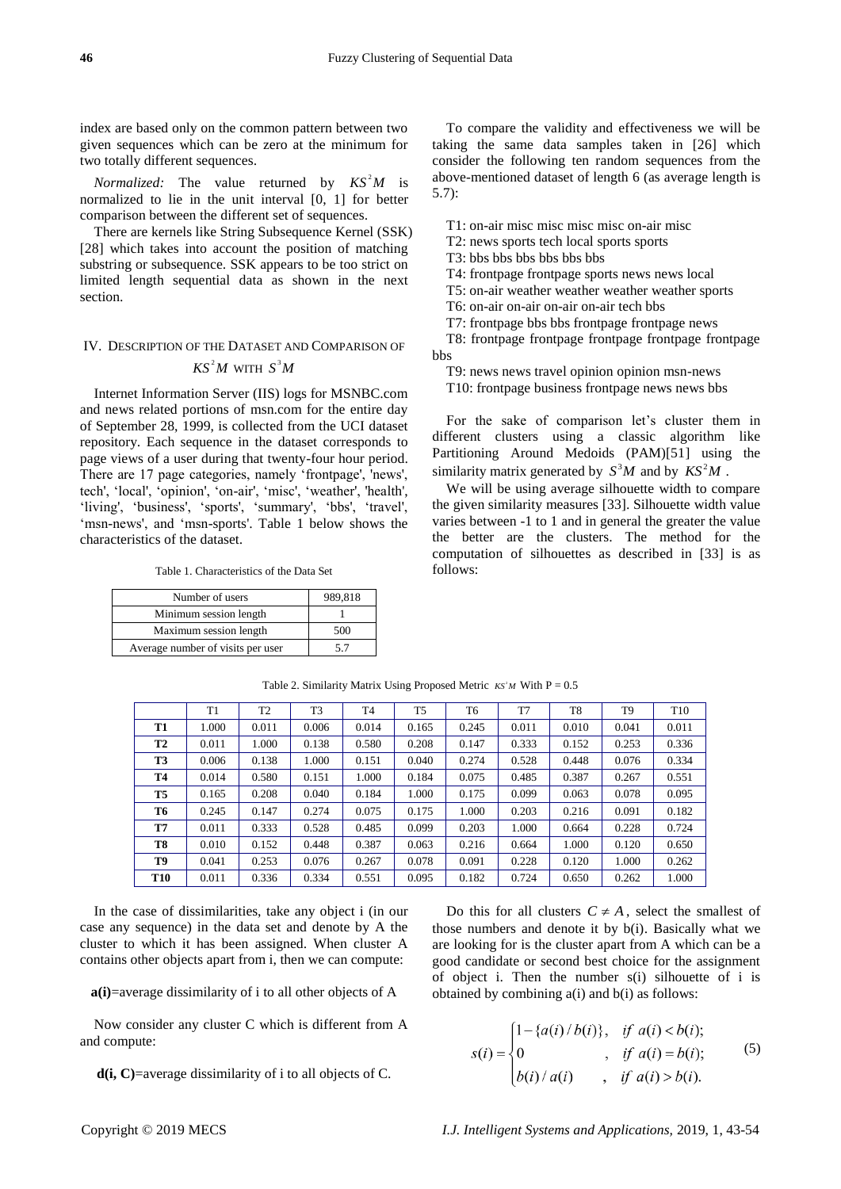index are based only on the common pattern between two given sequences which can be zero at the minimum for two totally different sequences.

*Normalized:* The value returned by  $KS^2M$  is normalized to lie in the unit interval [0, 1] for better comparison between the different set of sequences.

There are kernels like String Subsequence Kernel (SSK) [28] which takes into account the position of matching substring or subsequence. SSK appears to be too strict on limited length sequential data as shown in the next section.

# IV. DESCRIPTION OF THE DATASET AND COMPARISON OF

# WITH  $S^3M$

Internet Information Server (IIS) logs for MSNBC.com and news related portions of msn.com for the entire day of September 28, 1999, is collected from the UCI dataset repository. Each sequence in the dataset corresponds to page views of a user during that twenty-four hour period. There are 17 page categories, namely 'frontpage', 'news', tech', 'local', 'opinion', 'on-air', 'misc', 'weather', 'health', 'living', 'business', 'sports', 'summary', 'bbs', 'travel', ‗msn-news', and ‗msn-sports'. Table 1 below shows the characteristics of the dataset.

| Number of users                   | 989.818 |
|-----------------------------------|---------|
| Minimum session length            |         |
| Maximum session length            | 500     |
| Average number of visits per user | 5.7     |

| Fuzzy Clustering of Sequential Data<br>based only on the common pattern between two<br>updences which can be zero at the minimum for<br>the same data samples taken in [26] which<br>consider the following ten random sequences from the<br>lized: The value returned by $KS$                                                                                                                                                                                                                                                                   |  |  |  |
|--------------------------------------------------------------------------------------------------------------------------------------------------------------------------------------------------------------------------------------------------------------------------------------------------------------------------------------------------------------------------------------------------------------------------------------------------------------------------------------------------------------------------------------------------|--|--|--|
| T6: on-air on-air on-air on-air tech bbs<br>T7: frontpage bbs bbs frontpage frontpage news<br>T8: frontpage frontpage frontpage frontpage<br>CRIPTION OF THE DATASET AND COMPARISON OF                                                                                                                                                                                                                                                                                                                                                           |  |  |  |
| CRIPTION OF THE DATASET AND COMPARISON OF<br>$KS^2M$ WITH $S^3M$ T9: news news travel opinion opinion msn-news<br>to the sake of comparison server (IIS) logs for MSNBC.com<br>T10: frontpage business frontpage news news bbs<br>rela<br>Table 1. Characteristics of the Data Set                                                                                                                                                                                                                                                               |  |  |  |
| Number of users<br>Minimum session length<br>Maximum session length<br>Average number of visits per user<br>5.7<br>Table 2. Similarity Matrix Using Proposed Metric $KS^M$ With $P = 0.5$                                                                                                                                                                                                                                                                                                                                                        |  |  |  |
|                                                                                                                                                                                                                                                                                                                                                                                                                                                                                                                                                  |  |  |  |
| case of dissimilarities, take any object i (in our<br>sequence) in the data set and denote by A the<br>by Mindow and denote it by b(i). Basically what we<br>ownich it has been assigned. When cluster A are looking for is the cluste<br>onsider any cluster C which is different from A<br>$\left[1-\{a(i)/b(i)\}, \text{ if } a(i) < b(i)\right]$<br>oute:<br>$, \text{ if } a(i) = b(i);$<br>$s(i) = \begin{cases} 0 & , if a(i) = b(i), \\ b(i) / a(i) & , if a(i) > b(i). \end{cases}$<br>=average dissimilarity of i to all objects of C. |  |  |  |

Table 2. Similarity Matrix Using Proposed Metric  $KS^M$  With  $P = 0.5$ 

In the case of dissimilarities, take any object i (in our case any sequence) in the data set and denote by A the cluster to which it has been assigned. When cluster A contains other objects apart from i, then we can compute:

**a(i)**=average dissimilarity of i to all other objects of A

Now consider any cluster C which is different from A and compute:

**d(i, C)**=average dissimilarity of i to all objects of C.

$$
s(i) = \begin{cases} 1 - \{a(i) / b(i)\}, & \text{if } a(i) < b(i); \\ 0, & \text{if } a(i) = b(i); \\ b(i) / a(i), & \text{if } a(i) > b(i). \end{cases} \tag{5}
$$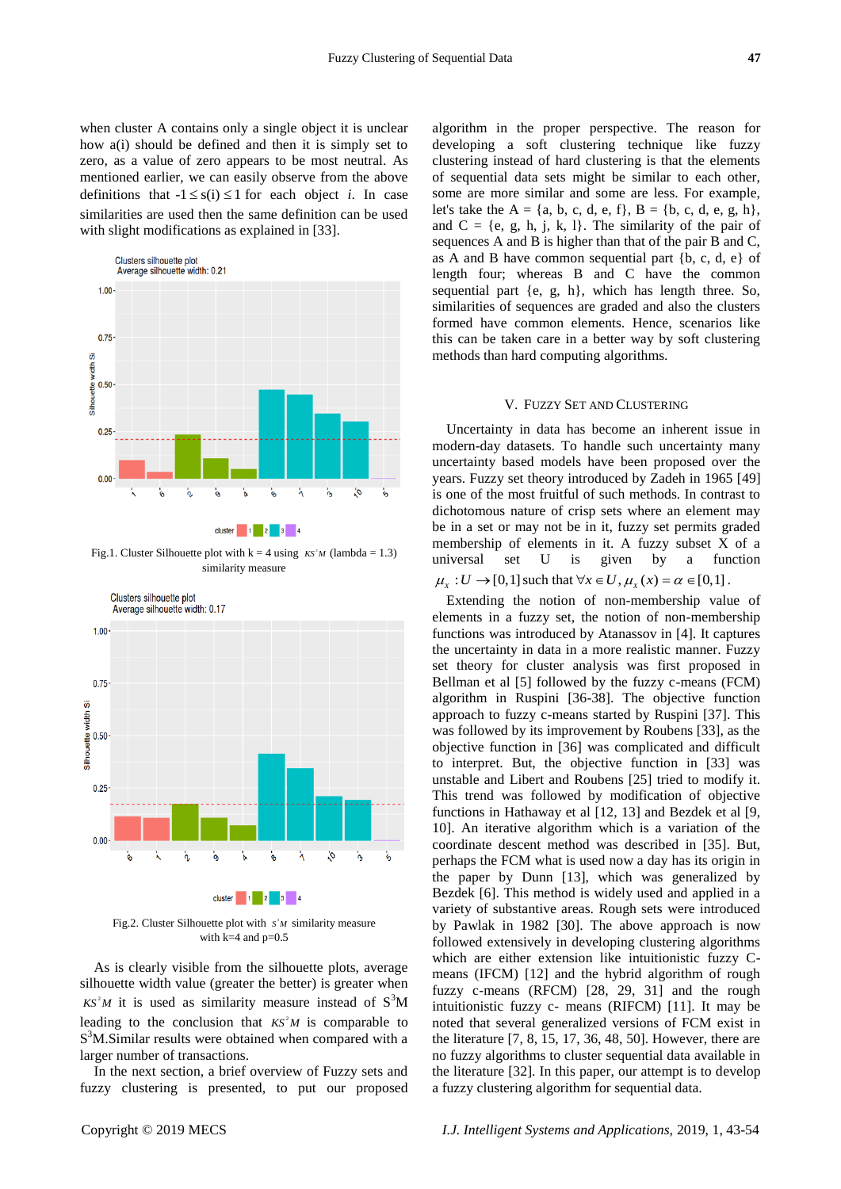

similarities are used then the same definition can be used

with slight modifications as explained in [33].

Fig.1. Cluster Silhouette plot with  $k = 4$  using  $KS^M$  (lambda = 1.3) similarity measure



Fig.2. Cluster Silhouette plot with  $S^M$  similarity measure with  $k=4$  and  $p=0.5$ 

As is clearly visible from the silhouette plots, average silhouette width value (greater the better) is greater when  $KS<sup>2</sup>M$  it is used as similarity measure instead of  $S<sup>3</sup>M$ leading to the conclusion that  $KS^2M$  is comparable to S<sup>3</sup>M.Similar results were obtained when compared with a larger number of transactions.

In the next section, a brief overview of Fuzzy sets and fuzzy clustering is presented, to put our proposed

years. Fuzzy set theory introduced by Zadeh in 1965 [49] is one of the most fruitful of such methods. In contrast to dichotomous nature of crisp sets where an element may be in a set or may not be in it, fuzzy set permits graded membership of elements in it. A fuzzy subset X of a universal set U is given by a function  $\mu_X : U \to [0,1]$  such that  $\forall x \in U$ ,  $\mu_X(x) = \alpha \in [0,1]$ . Extending the notion of non-membership value of

elements in a fuzzy set, the notion of non-membership functions was introduced by Atanassov in [4]. It captures the uncertainty in data in a more realistic manner. Fuzzy set theory for cluster analysis was first proposed in Bellman et al [5] followed by the fuzzy c-means (FCM) algorithm in Ruspini [36-38]. The objective function approach to fuzzy c-means started by Ruspini [37]. This was followed by its improvement by Roubens [33], as the objective function in [36] was complicated and difficult to interpret. But, the objective function in [33] was unstable and Libert and Roubens [25] tried to modify it. This trend was followed by modification of objective functions in Hathaway et al [12, 13] and Bezdek et al [9, 10]. An iterative algorithm which is a variation of the coordinate descent method was described in [35]. But, perhaps the FCM what is used now a day has its origin in the paper by Dunn [13], which was generalized by Bezdek [6]. This method is widely used and applied in a variety of substantive areas. Rough sets were introduced by Pawlak in 1982 [30]. The above approach is now followed extensively in developing clustering algorithms which are either extension like intuitionistic fuzzy Cmeans (IFCM) [12] and the hybrid algorithm of rough fuzzy c-means (RFCM) [28, 29, 31] and the rough intuitionistic fuzzy c- means (RIFCM) [11]. It may be noted that several generalized versions of FCM exist in the literature [7, 8, 15, 17, 36, 48, 50]. However, there are no fuzzy algorithms to cluster sequential data available in the literature [32]. In this paper, our attempt is to develop a fuzzy clustering algorithm for sequential data.

let's take the  $A = \{a, b, c, d, e, f\}$ ,  $B = \{b, c, d, e, g, h\}$ , and  $C = \{e, g, h, j, k, l\}$ . The similarity of the pair of sequences A and B is higher than that of the pair B and C, as A and B have common sequential part {b, c, d, e} of length four; whereas B and C have the common sequential part {e, g, h}, which has length three. So, similarities of sequences are graded and also the clusters formed have common elements. Hence, scenarios like this can be taken care in a better way by soft clustering

V. FUZZY SET AND CLUSTERING Uncertainty in data has become an inherent issue in modern-day datasets. To handle such uncertainty many uncertainty based models have been proposed over the

methods than hard computing algorithms.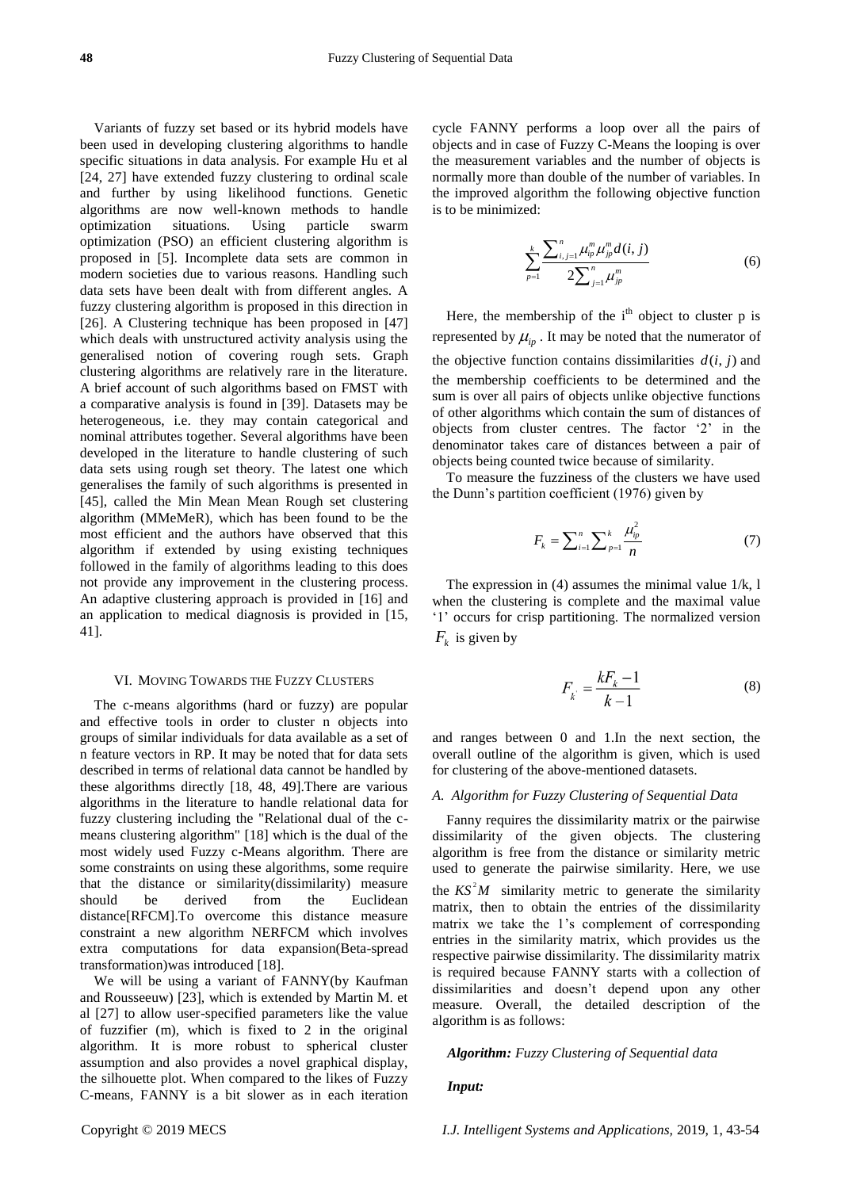Variants of fuzzy set based or its hybrid models have been used in developing clustering algorithms to handle specific situations in data analysis. For example Hu et al [24, 27] have extended fuzzy clustering to ordinal scale and further by using likelihood functions. Genetic algorithms are now well-known methods to handle optimization situations. Using particle swarm optimization (PSO) an efficient clustering algorithm is proposed in [5]. Incomplete data sets are common in modern societies due to various reasons. Handling such data sets have been dealt with from different angles. A fuzzy clustering algorithm is proposed in this direction in [26]. A Clustering technique has been proposed in [47] which deals with unstructured activity analysis using the generalised notion of covering rough sets. Graph clustering algorithms are relatively rare in the literature. A brief account of such algorithms based on FMST with a comparative analysis is found in [39]. Datasets may be heterogeneous, i.e. they may contain categorical and nominal attributes together. Several algorithms have been developed in the literature to handle clustering of such data sets using rough set theory. The latest one which generalises the family of such algorithms is presented in [45], called the Min Mean Mean Rough set clustering algorithm (MMeMeR), which has been found to be the most efficient and the authors have observed that this algorithm if extended by using existing techniques followed in the family of algorithms leading to this does not provide any improvement in the clustering process. An adaptive clustering approach is provided in [16] and an application to medical diagnosis is provided in [15, 41].

### VI. MOVING TOWARDS THE FUZZY CLUSTERS

The c-means algorithms (hard or fuzzy) are popular and effective tools in order to cluster n objects into groups of similar individuals for data available as a set of n feature vectors in RP. It may be noted that for data sets described in terms of relational data cannot be handled by these algorithms directly [18, 48, 49].There are various algorithms in the literature to handle relational data for fuzzy clustering including the "Relational dual of the cmeans clustering algorithm" [18] which is the dual of the most widely used Fuzzy c-Means algorithm. There are some constraints on using these algorithms, some require that the distance or similarity(dissimilarity) measure should be derived from the Euclidean distance[RFCM].To overcome this distance measure constraint a new algorithm NERFCM which involves extra computations for data expansion(Beta-spread transformation)was introduced [18].

We will be using a variant of FANNY(by Kaufman and Rousseeuw) [23], which is extended by Martin M. et al [27] to allow user-specified parameters like the value of fuzzifier (m), which is fixed to 2 in the original algorithm. It is more robust to spherical cluster assumption and also provides a novel graphical display, the silhouette plot. When compared to the likes of Fuzzy C-means, FANNY is a bit slower as in each iteration

cycle FANNY performs a loop over all the pairs of objects and in case of Fuzzy C-Means the looping is over the measurement variables and the number of objects is normally more than double of the number of variables. In the improved algorithm the following objective function is to be minimized:

$$
\sum_{p=1}^{k} \frac{\sum_{i,j=1}^{n} \mu_{ip}^{m} \mu_{jp}^{m} d(i,j)}{2 \sum_{j=1}^{n} \mu_{jp}^{m}}
$$
(6)

Here, the membership of the  $i<sup>th</sup>$  object to cluster p is represented by  $\mu_{ip}$ . It may be noted that the numerator of the objective function contains dissimilarities  $d(i, j)$  and the membership coefficients to be determined and the sum is over all pairs of objects unlike objective functions of other algorithms which contain the sum of distances of objects from cluster centres. The factor '2' in the denominator takes care of distances between a pair of objects being counted twice because of similarity.

To measure the fuzziness of the clusters we have used the Dunn's partition coefficient (1976) given by

$$
F_k = \sum_{i=1}^n \sum_{p=1}^k \frac{\mu_{ip}^2}{n}
$$
 (7)

The expression in  $(4)$  assumes the minimal value  $1/k$ , l when the clustering is complete and the maximal value ‗1' occurs for crisp partitioning. The normalized version  $F_k$  is given by

$$
F_k = \frac{kF_k - 1}{k - 1} \tag{8}
$$

and ranges between 0 and 1.In the next section, the overall outline of the algorithm is given, which is used for clustering of the above-mentioned datasets.

# *A. Algorithm for Fuzzy Clustering of Sequential Data*

Fanny requires the dissimilarity matrix or the pairwise dissimilarity of the given objects. The clustering algorithm is free from the distance or similarity metric used to generate the pairwise similarity. Here, we use the  $KS^2M$  similarity metric to generate the similarity servial Data<br>
e FANNY performs a loop over all the pairs of<br>
the militarized of Higgs C-Mann field together the stock of the pairs<br>
contribution of the military control in the pairs of the stress of<br>
the minimized digardi matrix, then to obtain the entries of the dissimilarity matrix we take the 1's complement of corresponding entries in the similarity matrix, which provides us the respective pairwise dissimilarity. The dissimilarity matrix is required because FANNY starts with a collection of dissimilarities and doesn't depend upon any other measure. Overall, the detailed description of the algorithm is as follows:

### *Algorithm: Fuzzy Clustering of Sequential data*

*Input:*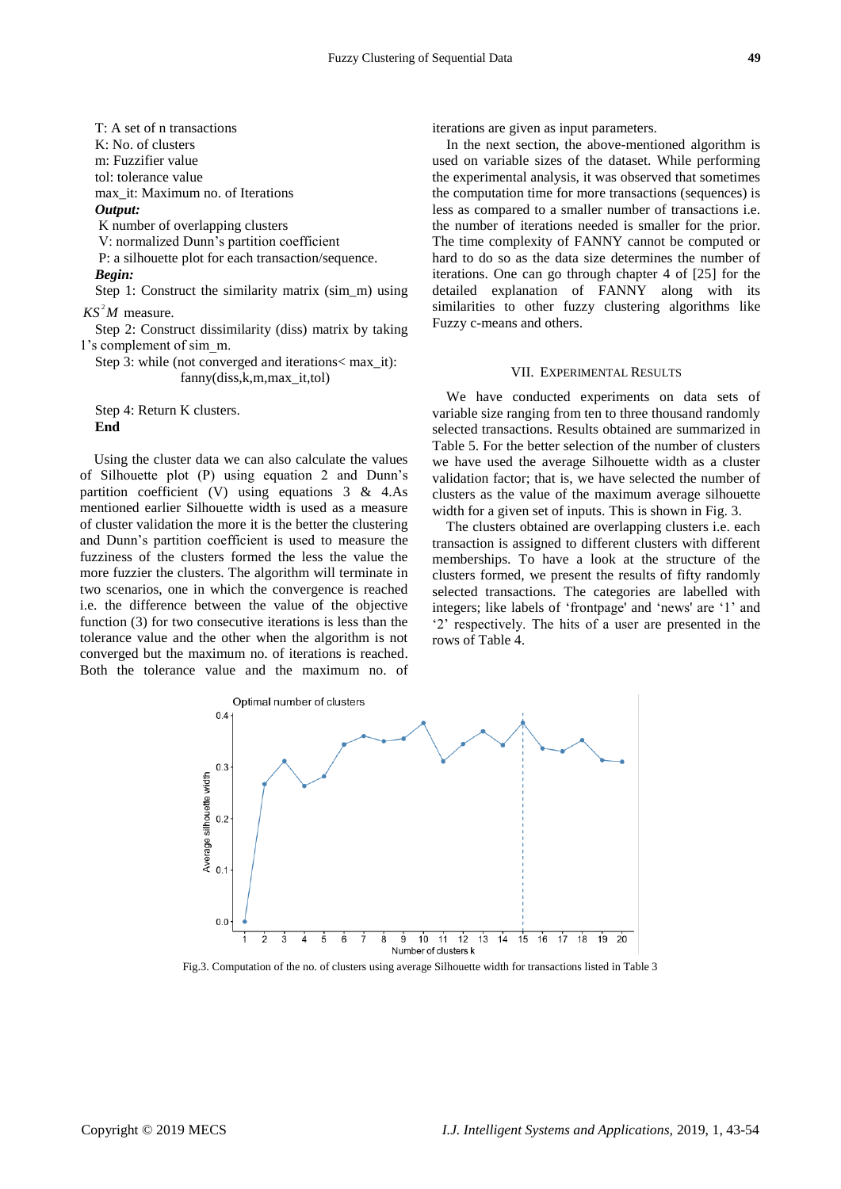T: A set of n transactions K: No. of clusters m: Fuzzifier value tol: tolerance value max\_it: Maximum no. of Iterations *Output:* K number of overlapping clusters V: normalized Dunn's partition coefficient

P: a silhouette plot for each transaction/sequence. *Begin:*

Step 1: Construct the similarity matrix (sim\_m) using  $KS<sup>2</sup>M$  measure.

Step 2: Construct dissimilarity (diss) matrix by taking 1's complement of sim\_m.

Step 3: while (not converged and iterations< max\_it): fanny(diss,k,m,max\_it,tol)

Step 4: Return K clusters. **End** 

Using the cluster data we can also calculate the values of Silhouette plot (P) using equation 2 and Dunn's partition coefficient (V) using equations  $3 \& 4.As$ mentioned earlier Silhouette width is used as a measure of cluster validation the more it is the better the clustering and Dunn's partition coefficient is used to measure the fuzziness of the clusters formed the less the value the more fuzzier the clusters. The algorithm will terminate in two scenarios, one in which the convergence is reached i.e. the difference between the value of the objective function (3) for two consecutive iterations is less than the tolerance value and the other when the algorithm is not converged but the maximum no. of iterations is reached. Both the tolerance value and the maximum no. of

iterations are given as input parameters.

In the next section, the above-mentioned algorithm is used on variable sizes of the dataset. While performing the experimental analysis, it was observed that sometimes the computation time for more transactions (sequences) is less as compared to a smaller number of transactions i.e. the number of iterations needed is smaller for the prior. The time complexity of FANNY cannot be computed or hard to do so as the data size determines the number of iterations. One can go through chapter 4 of [25] for the detailed explanation of FANNY along with its similarities to other fuzzy clustering algorithms like Fuzzy c-means and others.

# VII. EXPERIMENTAL RESULTS

We have conducted experiments on data sets of variable size ranging from ten to three thousand randomly selected transactions. Results obtained are summarized in Table 5. For the better selection of the number of clusters we have used the average Silhouette width as a cluster validation factor; that is, we have selected the number of clusters as the value of the maximum average silhouette width for a given set of inputs. This is shown in Fig. 3.

The clusters obtained are overlapping clusters i.e. each transaction is assigned to different clusters with different memberships. To have a look at the structure of the clusters formed, we present the results of fifty randomly selected transactions. The categories are labelled with integers; like labels of 'frontpage' and 'news' are '1' and ‗2' respectively. The hits of a user are presented in the rows of Table 4.



Fig.3. Computation of the no. of clusters using average Silhouette width for transactions listed in Table 3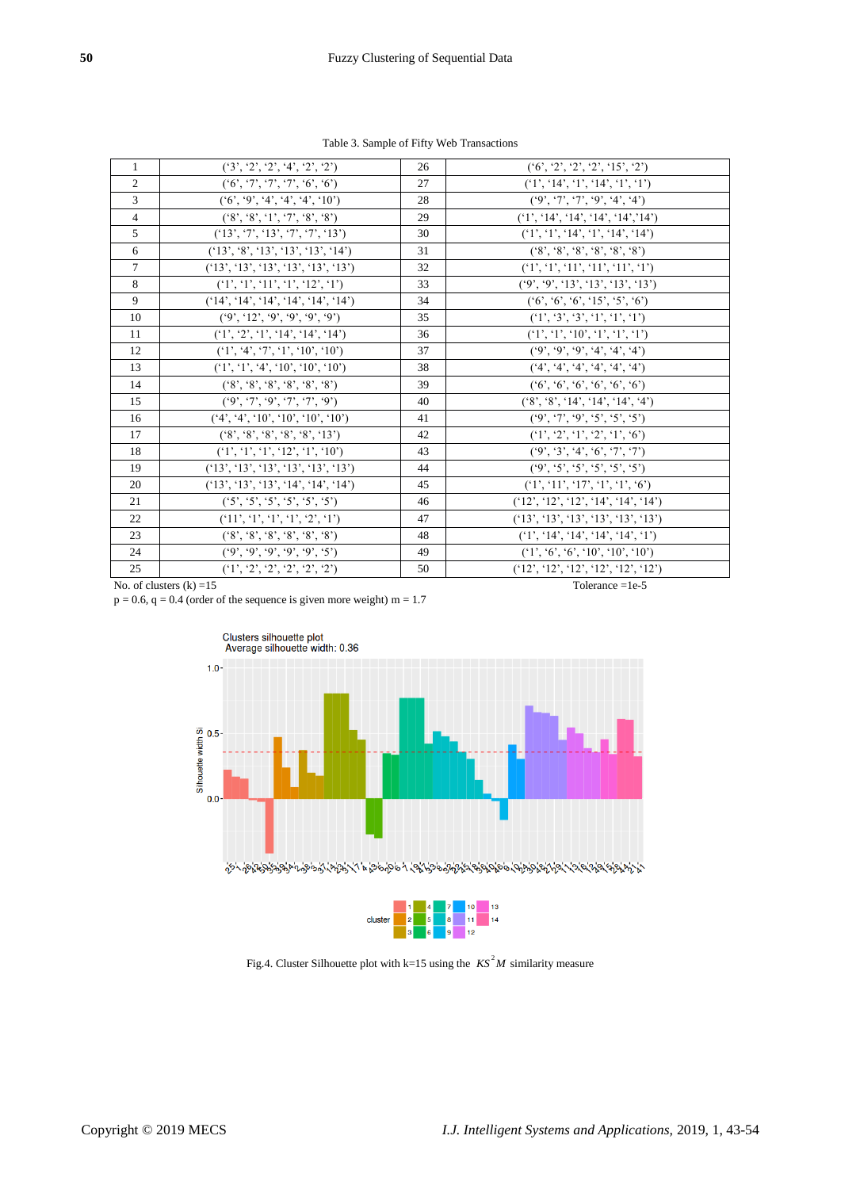| $\overline{1}$ | (3', 2', 2', 4', 2', 2')                            | 26 | (6', 2', 2', 2', 15', 2')                          |
|----------------|-----------------------------------------------------|----|----------------------------------------------------|
| $\overline{2}$ | (6, 7, 7, 7, 7, 6, 6)                               | 27 | (1', 14', 1', 14', 1', 1')                         |
| $\mathfrak{Z}$ | (6', 9', 4', 4', 4', 10')                           | 28 | (9', 7', 7', 9', 4', 4')                           |
| $\overline{4}$ | $(*8', *8', '1', '7', '8', '8')$                    | 29 | (1', 14', 14', 14', 14', 14')                      |
| 5              | (13', 7', 13', 7', 7', 13')                         | 30 | (1', 1', 14', 1', 14', 14')                        |
| 6              | (13', 8', 13', 13', 13', 14')                       | 31 | $(^{6}8', ^{6}8', ^{6}8', ^{6}8', ^{6}8', ^{6}8')$ |
| $\tau$         | (13', 13', 13', 13', 13', 13')                      | 32 | (1', 1', 11', 11', 11', 1)                         |
| 8              | (1', 1', 11', 1', 12', 1')                          | 33 | (9', 9', 13', 13', 13', 13')                       |
| 9              | (14', 14', 14', 14', 14', 14')                      | 34 | (6, 6, 6, 15, 5, 6)                                |
| 10             | (9', 12', 9', 9', 9', 9')                           | 35 | (1', 3', 3', 1', 1', 1')                           |
| 11             | (1', 2', 1', 14', 14', 14')                         | 36 | (1', 1', 10', 1', 1', 1')                          |
| 12             | (1', 4', 7', 1', 10', 10')                          | 37 | (9, 9, 9, 4, 4, 4, 4)                              |
| 13             | (1', 1', 4', 10', 10', 10')                         | 38 | (4', 4', 4', 4', 4', 4')                           |
| 14             | $(*8', *8', *8', *8', *8')$                         | 39 | (6, 6, 6, 6, 6, 6, 6)                              |
| 15             | (9', 7', 9', 7', 7', 9')                            | 40 | $(*8', *8', '14', '14', '14', '4')$                |
| 16             | (4', 4', 10', 10', 10', 10')                        | 41 | (9', 7', 9', 5', 5', 5')                           |
| 17             | $(^{6}8', ^{6}8', ^{6}8', ^{6}8', ^{6}8', ^{6}13')$ | 42 | (1', 2', 1', 2', 1', 6')                           |
| 18             | (1', 1', 1', 12', 1', 10')                          | 43 | (9', 3', 4', 6', 7', 7')                           |
| 19             | (13', 13', 13', 13', 13', 13')                      | 44 | (9', 5', 5', 5', 5', 5')                           |
| 20             | (13', 13', 13', 14', 14', 14')                      | 45 | (1', 11', 17', 1', 1', 6')                         |
| 21             | ('5', '5', '5', '5', '5', '5')                      | 46 | (12', 12', 12', 14', 14', 14')                     |
| 22             | (11', 1', 1', 1', 2', 1')                           | 47 | (13', 13', 13', 13', 13', 13')                     |
| 23             | $(*8', *8', *8', *8', *8')$                         | 48 | (1', 14', 14', 14', 14', 1')                       |
| 24             | (9, 9, 9, 9, 9, 9, 5)                               | 49 | (1', 6', 6', 10', 10', 10')                        |
| 25             | (1', 2', 2', 2', 2', 2')                            | 50 | (12', 12', 12', 12', 12', 12')                     |
|                | No. of clusters $(k) = 15$                          |    | Tolerance $=1e-5$                                  |

Table 3. Sample of Fifty Web Transactions

 $p = 0.6$ ,  $q = 0.4$  (order of the sequence is given more weight) m = 1.7





Fig.4. Cluster Silhouette plot with  $k=15$  using the  $KS^2M$  similarity measure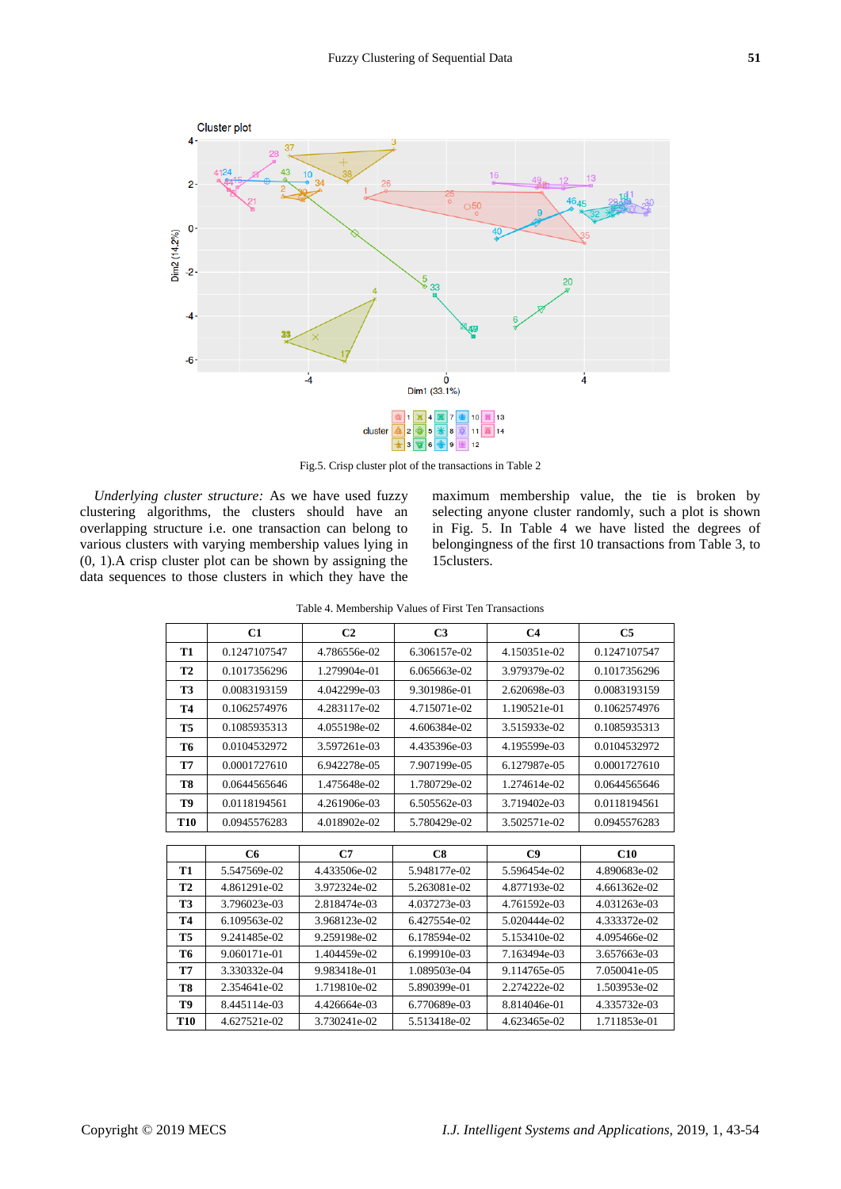

Fig.5. Crisp cluster plot of the transactions in Table 2

*Underlying cluster structure:* As we have used fuzzy clustering algorithms, the clusters should have an overlapping structure i.e. one transaction can belong to various clusters with varying membership values lying in (0, 1).A crisp cluster plot can be shown by assigning the data sequences to those clusters in which they have the maximum membership value, the tie is broken by selecting anyone cluster randomly, such a plot is shown in Fig. 5. In Table 4 we have listed the degrees of belongingness of the first 10 transactions from Table 3, to 15clusters.

|                | C1             | C <sub>2</sub> | C <sub>3</sub> | C <sub>4</sub> | C <sub>5</sub> |
|----------------|----------------|----------------|----------------|----------------|----------------|
| <b>T1</b>      | 0.1247107547   | 4.786556e-02   | 6.306157e-02   | 4.150351e-02   | 0.1247107547   |
| <b>T2</b>      | 0.1017356296   | 1.279904e-01   | 6.065663e-02   | 3.979379e-02   | 0.1017356296   |
| <b>T3</b>      | 0.0083193159   | 4.042299e-03   | 9.301986e-01   | 2.620698e-03   | 0.0083193159   |
| <b>T4</b>      | 0.1062574976   | 4.283117e-02   | 4.715071e-02   | 1.190521e-01   | 0.1062574976   |
| T <sub>5</sub> | 0.1085935313   | 4.055198e-02   | 4.606384e-02   | 3.515933e-02   | 0.1085935313   |
| T6             | 0.0104532972   | 3.597261e-03   | 4.435396e-03   | 4.195599e-03   | 0.0104532972   |
| <b>T7</b>      | 0.0001727610   | 6.942278e-05   | 7.907199e-05   | 6.127987e-05   | 0.0001727610   |
| T8             | 0.0644565646   | 1.475648e-02   | 1.780729e-02   | 1.274614e-02   | 0.0644565646   |
| T9             | 0.0118194561   | 4.261906e-03   | 6.505562e-03   | 3.719402e-03   | 0.0118194561   |
| T10            | 0.0945576283   | 4.018902e-02   | 5.780429e-02   | 3.502571e-02   | 0.0945576283   |
|                |                |                |                |                |                |
|                | C <sub>6</sub> | C7             | C8             | C9             | C10            |
| T1             | 5.547569e-02   | 4.433506e-02   | 5.948177e-02   | 5.596454e-02   | 4.890683e-02   |
| <b>T2</b>      | 4.861291e-02   | 3.972324e-02   | 5.263081e-02   | 4.877193e-02   | 4.661362e-02   |
| T3             | 3.796023e-03   | 2.818474e-03   | 4.037273e-03   | 4.761592e-03   | 4.031263e-03   |
| <b>T4</b>      | 6.109563e-02   | 3.968123e-02   | 6.427554e-02   | 5.020444e-02   | 4.333372e-02   |
| T <sub>5</sub> | 9.241485e-02   | 9.259198e-02   | 6.178594e-02   | 5.153410e-02   | 4.095466e-02   |
| T6             | 9.060171e-01   | 1.404459e-02   | 6.199910e-03   | 7.163494e-03   | 3.657663e-03   |

**T7** 3.330332e-04 9.983418e-01 1.089503e-04 9.114765e-05 7.050041e-05 **T8** 2.354641e-02 1.719810e-02 5.890399e-01 2.274222e-02 1.503953e-02 **T9** 8.445114e-03 4.426664e-03 6.770689e-03 8.814046e-01 4.335732e-03 **T10** 4.627521e-02 3.730241e-02 5.513418e-02 4.623465e-02 1.711853e-01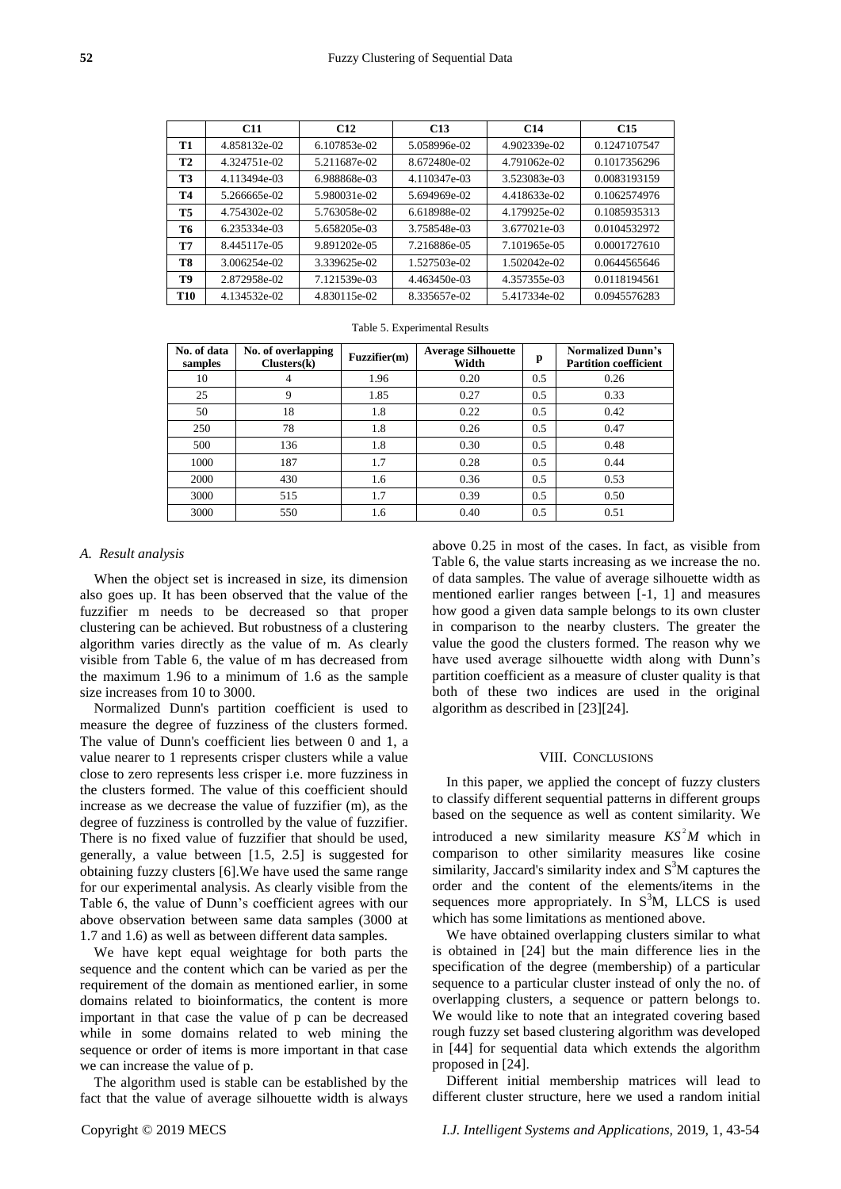|            | C11          | C <sub>12</sub> | C <sub>13</sub> | C <sub>14</sub> | C <sub>15</sub> |
|------------|--------------|-----------------|-----------------|-----------------|-----------------|
| T1         | 4.858132e-02 | 6.107853e-02    | 5.058996e-02    | 4.902339e-02    | 0.1247107547    |
| <b>T2</b>  | 4.324751e-02 | 5.211687e-02    | 8.672480e-02    | 4.791062e-02    | 0.1017356296    |
| <b>T3</b>  | 4.113494e-03 | 6.988868e-03    | 4.110347e-03    | 3.523083e-03    | 0.0083193159    |
| Т4         | 5.266665e-02 | 5.980031e-02    | 5.694969e-02    | 4.418633e-02    | 0.1062574976    |
| <b>T5</b>  | 4.754302e-02 | 5.763058e-02    | 6.618988e-02    | 4.179925e-02    | 0.1085935313    |
| Т6         | 6.235334e-03 | 5.658205e-03    | 3.758548e-03    | 3.677021e-03    | 0.0104532972    |
| T7         | 8.445117e-05 | 9.891202e-05    | 7.216886e-05    | 7.101965e-05    | 0.0001727610    |
| T8         | 3.006254e-02 | 3.339625e-02    | 1.527503e-02    | 1.502042e-02    | 0.0644565646    |
| T9         | 2.872958e-02 | 7.121539e-03    | 4.463450e-03    | 4.357355e-03    | 0.0118194561    |
| <b>T10</b> | 4.134532e-02 | 4.830115e-02    | 8.335657e-02    | 5.417334e-02    | 0.0945576283    |

|  | Table 5. Experimental Results |  |
|--|-------------------------------|--|
|--|-------------------------------|--|

| No. of data<br>samples | No. of overlapping<br>Clusters(k) | Fuzzifier(m) | <b>Average Silhouette</b><br>Width | p   | <b>Normalized Dunn's</b><br><b>Partition coefficient</b> |
|------------------------|-----------------------------------|--------------|------------------------------------|-----|----------------------------------------------------------|
| 10                     | 4                                 | 1.96         | 0.20                               | 0.5 | 0.26                                                     |
| 25                     | 9                                 | 1.85         | 0.27                               | 0.5 | 0.33                                                     |
| 50                     | 18                                | 1.8          | 0.22                               | 0.5 | 0.42                                                     |
| 250                    | 78                                | 1.8          | 0.26                               | 0.5 | 0.47                                                     |
| 500                    | 136                               | 1.8          | 0.30                               | 0.5 | 0.48                                                     |
| 1000                   | 187                               | 1.7          | 0.28                               | 0.5 | 0.44                                                     |
| 2000                   | 430                               | 1.6          | 0.36                               | 0.5 | 0.53                                                     |
| 3000                   | 515                               | 1.7          | 0.39                               | 0.5 | 0.50                                                     |
| 3000                   | 550                               | 1.6          | 0.40                               | 0.5 | 0.51                                                     |

# *A. Result analysis*

When the object set is increased in size, its dimension also goes up. It has been observed that the value of the fuzzifier m needs to be decreased so that proper clustering can be achieved. But robustness of a clustering algorithm varies directly as the value of m. As clearly visible from Table 6, the value of m has decreased from the maximum 1.96 to a minimum of 1.6 as the sample size increases from 10 to 3000.

Normalized Dunn's partition coefficient is used to measure the degree of fuzziness of the clusters formed. The value of Dunn's coefficient lies between 0 and 1, a value nearer to 1 represents crisper clusters while a value close to zero represents less crisper i.e. more fuzziness in the clusters formed. The value of this coefficient should increase as we decrease the value of fuzzifier (m), as the degree of fuzziness is controlled by the value of fuzzifier. There is no fixed value of fuzzifier that should be used, generally, a value between [1.5, 2.5] is suggested for obtaining fuzzy clusters [6].We have used the same range for our experimental analysis. As clearly visible from the Table 6, the value of Dunn's coefficient agrees with our above observation between same data samples (3000 at 1.7 and 1.6) as well as between different data samples.

We have kept equal weightage for both parts the sequence and the content which can be varied as per the requirement of the domain as mentioned earlier, in some domains related to bioinformatics, the content is more important in that case the value of p can be decreased while in some domains related to web mining the sequence or order of items is more important in that case we can increase the value of p.

The algorithm used is stable can be established by the fact that the value of average silhouette width is always above 0.25 in most of the cases. In fact, as visible from Table 6, the value starts increasing as we increase the no. of data samples. The value of average silhouette width as mentioned earlier ranges between [-1, 1] and measures how good a given data sample belongs to its own cluster in comparison to the nearby clusters. The greater the value the good the clusters formed. The reason why we have used average silhouette width along with Dunn's partition coefficient as a measure of cluster quality is that both of these two indices are used in the original algorithm as described in [23][24]. **Example 18**<br> **Example 18**<br> **Example 18**<br> **Example 18**<br> **C Example 18**<br> **C Example 18**<br> **C Example 18**<br> **C Example 18**<br> **C EXAMPLE 18**<br> **C EXAMPLE 18**<br> **C EXAMPLE 18**<br> **C EXAMPLE 18**<br> **C C EXAMPLE 18**<br>

# VIII. CONCLUSIONS

In this paper, we applied the concept of fuzzy clusters to classify different sequential patterns in different groups based on the sequence as well as content similarity. We introduced a new similarity measure  $KS^2M$  which in comparison to other similarity measures like cosine similarity, Jaccard's similarity index and  $S<sup>3</sup>M$  captures the order and the content of the elements/items in the sequences more appropriately. In  $S<sup>3</sup>M$ , LLCS is used which has some limitations as mentioned above.

We have obtained overlapping clusters similar to what is obtained in [24] but the main difference lies in the specification of the degree (membership) of a particular sequence to a particular cluster instead of only the no. of overlapping clusters, a sequence or pattern belongs to. We would like to note that an integrated covering based rough fuzzy set based clustering algorithm was developed in [44] for sequential data which extends the algorithm proposed in [24].

Different initial membership matrices will lead to different cluster structure, here we used a random initial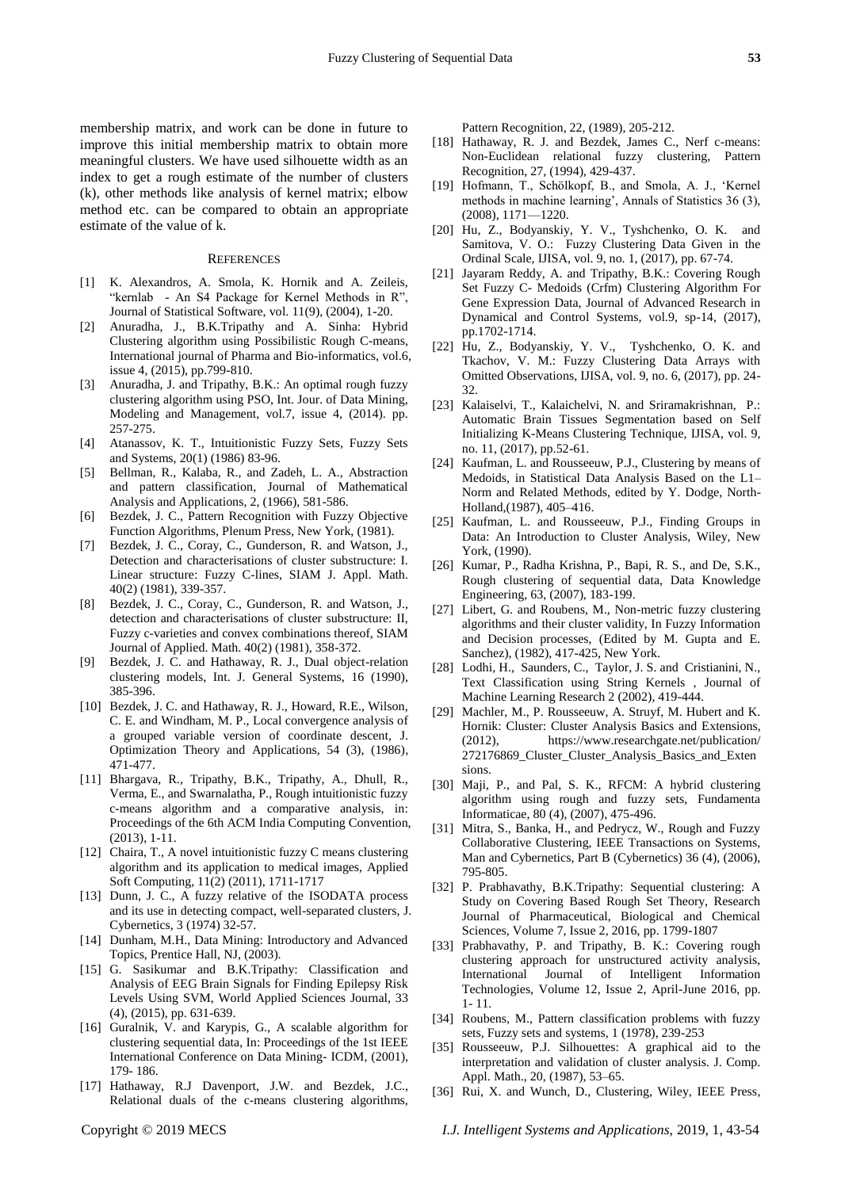#### **REFERENCES**

- [1] K. Alexandros, A. Smola, K. Hornik and A. Zeileis, "kernlab - An S4 Package for Kernel Methods in R", Journal of Statistical Software, vol. 11(9), (2004), 1-20.
- [2] Anuradha, J., B.K.Tripathy and A. Sinha: Hybrid Clustering algorithm using Possibilistic Rough C-means, International journal of Pharma and Bio-informatics, vol.6, issue 4, (2015), pp.799-810.
- [3] Anuradha, J. and Tripathy, B.K.: An optimal rough fuzzy clustering algorithm using PSO, Int. Jour. of Data Mining, Modeling and Management, vol.7, issue 4, (2014). pp. 257-275.
- [4] Atanassov, K. T., Intuitionistic Fuzzy Sets, Fuzzy Sets and Systems, 20(1) (1986) 83-96.
- [5] Bellman, R., Kalaba, R., and Zadeh, L. A., Abstraction and pattern classification, Journal of Mathematical Analysis and Applications, 2, (1966), 581-586.
- [6] Bezdek, J. C., Pattern Recognition with Fuzzy Objective Function Algorithms, Plenum Press, New York, (1981).
- [7] Bezdek, J. C., Coray, C., Gunderson, R. and Watson, J., Detection and characterisations of cluster substructure: I. Linear structure: Fuzzy C-lines, SIAM J. Appl. Math. 40(2) (1981), 339-357.
- [8] Bezdek, J. C., Coray, C., Gunderson, R. and Watson, J., detection and characterisations of cluster substructure: II, Fuzzy c-varieties and convex combinations thereof, SIAM Journal of Applied. Math. 40(2) (1981), 358-372.
- [9] Bezdek, J. C. and Hathaway, R. J., Dual object-relation clustering models, Int. J. General Systems, 16 (1990), 385-396.
- [10] Bezdek, J. C. and Hathaway, R. J., Howard, R.E., Wilson, C. E. and Windham, M. P., Local convergence analysis of a grouped variable version of coordinate descent, J. Optimization Theory and Applications, 54 (3), (1986), 471-477.
- [11] Bhargava, R., Tripathy, B.K., Tripathy, A., Dhull, R., Verma, E., and Swarnalatha, P., Rough intuitionistic fuzzy c-means algorithm and a comparative analysis, in: Proceedings of the 6th ACM India Computing Convention, (2013), 1-11.
- [12] Chaira, T., A novel intuitionistic fuzzy C means clustering algorithm and its application to medical images, Applied Soft Computing, 11(2) (2011), 1711-1717
- [13] Dunn, J. C., A fuzzy relative of the ISODATA process and its use in detecting compact, well-separated clusters, J. Cybernetics, 3 (1974) 32-57.
- [14] Dunham, M.H., Data Mining: Introductory and Advanced Topics, Prentice Hall, NJ, (2003).
- [15] G. Sasikumar and B.K.Tripathy: Classification and Analysis of EEG Brain Signals for Finding Epilepsy Risk Levels Using SVM, World Applied Sciences Journal, 33 (4), (2015), pp. 631-639.
- [16] Guralnik, V. and Karypis, G., A scalable algorithm for clustering sequential data, In: Proceedings of the 1st IEEE International Conference on Data Mining- ICDM, (2001), 179- 186.
- [17] Hathaway, R.J Davenport, J.W. and Bezdek, J.C., Relational duals of the c-means clustering algorithms,

Pattern Recognition, 22, (1989), 205-212.

- [18] Hathaway, R. J. and Bezdek, James C., Nerf c-means: Non-Euclidean relational fuzzy clustering, Pattern Recognition, 27, (1994), 429-437.
- [19] Hofmann, T., Schölkopf, B., and Smola, A. J., 'Kernel methods in machine learning', Annals of Statistics 36 (3), (2008), 1171—1220.
- [20] Hu, Z., Bodyanskiy, Y. V., Tyshchenko, O. K. and Samitova, V. O.: Fuzzy Clustering Data Given in the Ordinal Scale, IJISA, vol. 9, no. 1, (2017), pp. 67-74.
- [21] Jayaram Reddy, A. and Tripathy, B.K.: Covering Rough Set Fuzzy C- Medoids (Crfm) Clustering Algorithm For Gene Expression Data, Journal of Advanced Research in Dynamical and Control Systems, vol.9, sp-14, (2017), pp.1702-1714.
- [22] Hu, Z., Bodyanskiy, Y. V., Tyshchenko, O. K. and Tkachov, V. M.: Fuzzy Clustering Data Arrays with Omitted Observations, IJISA, vol. 9, no. 6, (2017), pp. 24- 32.
- [23] Kalaiselvi, T., Kalaichelvi, N. and Sriramakrishnan, P.: Automatic Brain Tissues Segmentation based on Self Initializing K-Means Clustering Technique, IJISA, vol. 9, no. 11, (2017), pp.52-61.
- [24] Kaufman, L. and Rousseeuw, P.J., Clustering by means of Medoids, in Statistical Data Analysis Based on the L1– Norm and Related Methods, edited by Y. Dodge, North-Holland,(1987), 405–416.
- [25] Kaufman, L. and Rousseeuw, P.J., Finding Groups in Data: An Introduction to Cluster Analysis, Wiley, New York, (1990).
- [26] Kumar, P., Radha Krishna, P., Bapi, R. S., and De, S.K., Rough clustering of sequential data, Data Knowledge Engineering, 63, (2007), 183-199.
- [27] Libert, G. and Roubens, M., Non-metric fuzzy clustering algorithms and their cluster validity, In Fuzzy Information and Decision processes, (Edited by M. Gupta and E. Sanchez), (1982), 417-425, New York.
- [28] Lodhi, H., Saunders, C., Taylor, J. S. and Cristianini, N., Text Classification using String Kernels , Journal of Machine Learning Research 2 (2002), 419-444.
- [29] Machler, M., P. Rousseeuw, A. Struyf, M. Hubert and K. Hornik: Cluster: Cluster Analysis Basics and Extensions, (2012), https://www.researchgate.net/publication/ 272176869\_Cluster\_Cluster\_Analysis\_Basics\_and\_Exten sions.
- [30] Maji, P., and Pal, S. K., RFCM: A hybrid clustering algorithm using rough and fuzzy sets, Fundamenta Informaticae, 80 (4), (2007), 475-496.
- [31] Mitra, S., Banka, H., and Pedrycz, W., Rough and Fuzzy Collaborative Clustering, IEEE Transactions on Systems, Man and Cybernetics, Part B (Cybernetics) 36 (4), (2006), 795-805.
- [32] P. Prabhavathy, B.K.Tripathy: Sequential clustering: A Study on Covering Based Rough Set Theory, Research Journal of Pharmaceutical, Biological and Chemical Sciences, Volume 7, Issue 2, 2016, pp. 1799-1807
- [33] Prabhavathy, P. and Tripathy, B. K.: Covering rough clustering approach for unstructured activity analysis, International Journal of Intelligent Information Technologies, Volume 12, Issue 2, April-June 2016, pp. 1- 11.
- [34] Roubens, M., Pattern classification problems with fuzzy sets, Fuzzy sets and systems, 1 (1978), 239-253
- [35] Rousseeuw, P.J. Silhouettes: A graphical aid to the interpretation and validation of cluster analysis. J. Comp. Appl. Math., 20, (1987), 53–65.
- [36] Rui, X. and Wunch, D., Clustering, Wiley, IEEE Press,